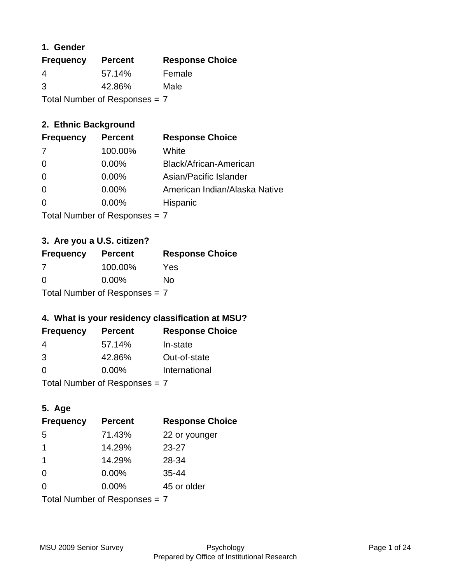### **1. Gender**

| <b>Frequency</b>              | <b>Percent</b> | <b>Response Choice</b> |
|-------------------------------|----------------|------------------------|
| 4                             | 57.14%         | Female                 |
| 3                             | 42.86%         | Male                   |
| Total Number of Responses = 7 |                |                        |

### **2. Ethnic Background**

| <b>Frequency</b> | <b>Percent</b> | <b>Response Choice</b>        |
|------------------|----------------|-------------------------------|
| -7               | 100.00%        | White                         |
| 0                | $0.00\%$       | Black/African-American        |
|                  | $0.00\%$       | Asian/Pacific Islander        |
|                  | $0.00\%$       | American Indian/Alaska Native |
|                  | $0.00\%$       | <b>Hispanic</b>               |
|                  |                |                               |

Total Number of Responses = 7

## **3. Are you a U.S. citizen?**

| <b>Frequency</b>                | <b>Percent</b> | <b>Response Choice</b> |
|---------------------------------|----------------|------------------------|
| 7                               | 100.00%        | Yes                    |
| $\Omega$                        | $0.00\%$       | No                     |
| Total Number of Responses $= 7$ |                |                        |

#### **4. What is your residency classification at MSU?**

| <b>Frequency</b> | <b>Percent</b> | <b>Response Choice</b> |
|------------------|----------------|------------------------|
| -4               | 57.14%         | In-state               |
| 3                | 42.86%         | Out-of-state           |
| $\Omega$         | $0.00\%$       | International          |
|                  |                |                        |

Total Number of Responses = 7

### **5. Age**

| <b>Frequency</b>                | <b>Percent</b> | <b>Response Choice</b> |
|---------------------------------|----------------|------------------------|
| 5                               | 71.43%         | 22 or younger          |
| 1                               | 14.29%         | $23 - 27$              |
| -1                              | 14.29%         | 28-34                  |
| $\Omega$                        | $0.00\%$       | $35 - 44$              |
| $\Omega$                        | 0.00%          | 45 or older            |
| Total Number of Responses = $7$ |                |                        |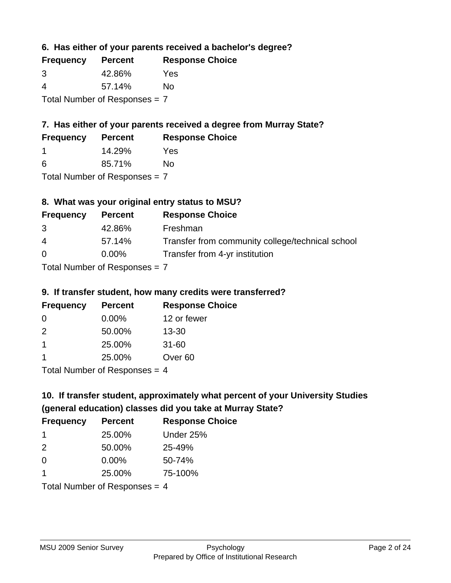**6. Has either of your parents received a bachelor's degree?**

| <b>Frequency</b>              | <b>Percent</b> | <b>Response Choice</b> |
|-------------------------------|----------------|------------------------|
| 3                             | 42.86%         | Yes                    |
| 4                             | 57.14%         | Nο                     |
| Total Number of Responses = 7 |                |                        |

## **7. Has either of your parents received a degree from Murray State?**

| <b>Frequency</b> | <b>Percent</b> | <b>Response Choice</b> |  |
|------------------|----------------|------------------------|--|
|                  | 14.29%         | Yes                    |  |
| -6               | 85.71%         | No                     |  |

Total Number of Responses = 7

## **8. What was your original entry status to MSU?**

| <b>Frequency</b> | <b>Percent</b>             | <b>Response Choice</b>                           |
|------------------|----------------------------|--------------------------------------------------|
| 3                | 42.86%                     | Freshman                                         |
| $\overline{4}$   | 57.14%                     | Transfer from community college/technical school |
| $\Omega$         | $0.00\%$                   | Transfer from 4-yr institution                   |
|                  | Tetal Number of Desperance |                                                  |

Total Number of Responses = 7

### **9. If transfer student, how many credits were transferred?**

| <b>Frequency</b> | <b>Percent</b>                | <b>Response Choice</b> |
|------------------|-------------------------------|------------------------|
| -0               | $0.00\%$                      | 12 or fewer            |
| $\mathcal{P}$    | 50.00%                        | $13 - 30$              |
| 1                | 25.00%                        | $31 - 60$              |
| 1                | 25.00%                        | Over <sub>60</sub>     |
|                  | $Total Number of Denonce = A$ |                        |

Total Number of Responses = 4

# **10. If transfer student, approximately what percent of your University Studies (general education) classes did you take at Murray State?**

| <b>Frequency</b>                | <b>Percent</b> | <b>Response Choice</b> |
|---------------------------------|----------------|------------------------|
| -1                              | 25.00%         | Under 25%              |
| 2                               | 50.00%         | 25-49%                 |
| $\Omega$                        | $0.00\%$       | 50-74%                 |
| 1                               | 25.00%         | 75-100%                |
| Total Number of Responses $=$ 4 |                |                        |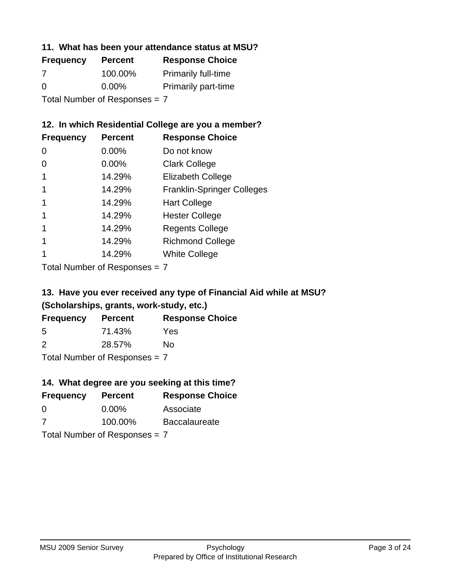#### **11. What has been your attendance status at MSU?**

| <b>Frequency</b>              | <b>Percent</b> | <b>Response Choice</b>     |
|-------------------------------|----------------|----------------------------|
| 7                             | 100.00%        | <b>Primarily full-time</b> |
| $\Omega$                      | $0.00\%$       | <b>Primarily part-time</b> |
| Total Number of Responses = 7 |                |                            |

#### **12. In which Residential College are you a member?**

| <b>Frequency</b> | <b>Percent</b> | <b>Response Choice</b>            |
|------------------|----------------|-----------------------------------|
| 0                | $0.00\%$       | Do not know                       |
| 0                | 0.00%          | <b>Clark College</b>              |
| 1                | 14.29%         | <b>Elizabeth College</b>          |
|                  | 14.29%         | <b>Franklin-Springer Colleges</b> |
|                  | 14.29%         | <b>Hart College</b>               |
|                  | 14.29%         | <b>Hester College</b>             |
|                  | 14.29%         | <b>Regents College</b>            |
|                  | 14.29%         | <b>Richmond College</b>           |
|                  | 14.29%         | <b>White College</b>              |

Total Number of Responses = 7

### **13. Have you ever received any type of Financial Aid while at MSU? (Scholarships, grants, work-study, etc.)**

| <b>Frequency</b> | <b>Percent</b> | <b>Response Choice</b> |
|------------------|----------------|------------------------|
| 5                | 71.43%         | Yes                    |
| 2                | 28.57%         | No.                    |
|                  |                |                        |

Total Number of Responses = 7

### **14. What degree are you seeking at this time?**

| <b>Frequency</b> | <b>Percent</b>                  | <b>Response Choice</b> |
|------------------|---------------------------------|------------------------|
| 0                | $0.00\%$                        | Associate              |
| 7                | 100.00%                         | <b>Baccalaureate</b>   |
|                  | Total Number of Responses $= 7$ |                        |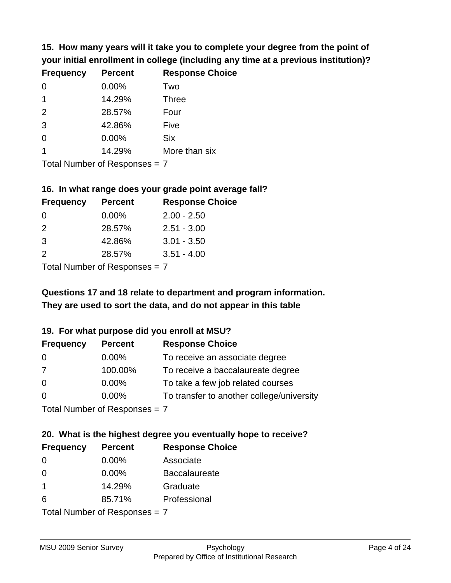**15. How many years will it take you to complete your degree from the point of your initial enrollment in college (including any time at a previous institution)?**

| <b>Frequency</b> | <b>Percent</b> | <b>Response Choice</b> |
|------------------|----------------|------------------------|
| $\Omega$         | 0.00%          | Two                    |
| 1                | 14.29%         | <b>Three</b>           |
| 2                | 28.57%         | Four                   |
| 3                | 42.86%         | Five                   |
| 0                | 0.00%          | <b>Six</b>             |
|                  | 14.29%         | More than six          |
|                  |                |                        |

Total Number of Responses = 7

#### **16. In what range does your grade point average fall?**

| <b>Frequency</b> | <b>Percent</b> | <b>Response Choice</b> |
|------------------|----------------|------------------------|
| -0               | $0.00\%$       | $2.00 - 2.50$          |
| $\mathcal{P}$    | 28.57%         | $2.51 - 3.00$          |
| -3               | 42.86%         | $3.01 - 3.50$          |
| $\mathcal{P}$    | 28.57%         | $3.51 - 4.00$          |
|                  |                |                        |

Total Number of Responses = 7

# **They are used to sort the data, and do not appear in this table Questions 17 and 18 relate to department and program information.**

### **19. For what purpose did you enroll at MSU?**

| <b>Frequency</b>            | <b>Percent</b> | <b>Response Choice</b>                    |
|-----------------------------|----------------|-------------------------------------------|
| 0                           | $0.00\%$       | To receive an associate degree            |
| 7                           | 100.00%        | To receive a baccalaureate degree         |
| $\overline{0}$              | $0.00\%$       | To take a few job related courses         |
| $\Omega$                    | $0.00\%$       | To transfer to another college/university |
| Total Number of Despesses 7 |                |                                           |

Total Number of Responses = 7

# **20. What is the highest degree you eventually hope to receive?**

| <b>Frequency</b>           | <b>Percent</b> | <b>Response Choice</b> |
|----------------------------|----------------|------------------------|
| 0                          | 0.00%          | Associate              |
| 0                          | 0.00%          | <b>Baccalaureate</b>   |
| $\mathbf 1$                | 14.29%         | Graduate               |
| 6                          | 85.71%         | Professional           |
| Tatal Number of Desperance |                |                        |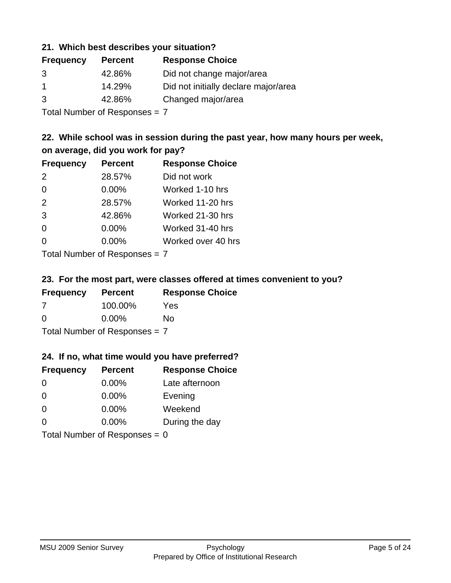#### **21. Which best describes your situation?**

| <b>Frequency</b> | <b>Percent</b> | <b>Response Choice</b>               |
|------------------|----------------|--------------------------------------|
| 3                | 42.86%         | Did not change major/area            |
|                  | 14.29%         | Did not initially declare major/area |
| 3                | 42.86%         | Changed major/area                   |

Total Number of Responses = 7

### **22. While school was in session during the past year, how many hours per week, on average, did you work for pay?**

| <b>Frequency</b> | <b>Percent</b> | <b>Response Choice</b> |
|------------------|----------------|------------------------|
| 2                | 28.57%         | Did not work           |
| $\Omega$         | 0.00%          | Worked 1-10 hrs        |
| 2                | 28.57%         | Worked 11-20 hrs       |
| 3                | 42.86%         | Worked 21-30 hrs       |
| $\Omega$         | 0.00%          | Worked 31-40 hrs       |
| $\Omega$         | 0.00%          | Worked over 40 hrs     |
|                  |                |                        |

Total Number of Responses = 7

#### **23. For the most part, were classes offered at times convenient to you?**

| <b>Frequency</b>              | <b>Percent</b> | <b>Response Choice</b> |
|-------------------------------|----------------|------------------------|
| -7                            | 100.00%        | Yes                    |
| $\Omega$                      | $0.00\%$       | Nο                     |
| Total Number of Responses = 7 |                |                        |

#### **24. If no, what time would you have preferred?**

| <b>Frequency</b>                | <b>Percent</b> | <b>Response Choice</b> |
|---------------------------------|----------------|------------------------|
| $\Omega$                        | $0.00\%$       | Late afternoon         |
| $\Omega$                        | 0.00%          | Evening                |
| $\Omega$                        | $0.00\%$       | Weekend                |
| $\Omega$                        | $0.00\%$       | During the day         |
| Total Number of Responses = $0$ |                |                        |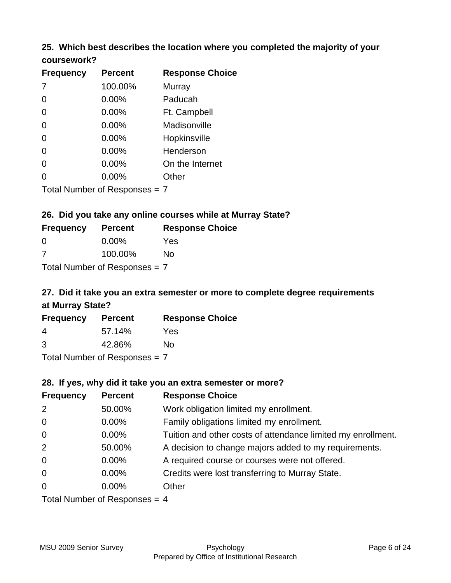#### **25. Which best describes the location where you completed the majority of your coursework?**

| <b>Frequency</b> | <b>Percent</b>            | <b>Response Choice</b> |
|------------------|---------------------------|------------------------|
| 7                | 100.00%                   | <b>Murray</b>          |
| $\overline{0}$   | 0.00%                     | Paducah                |
| $\overline{0}$   | 0.00%                     | Ft. Campbell           |
| $\overline{0}$   | 0.00%                     | Madisonville           |
| $\overline{0}$   | 0.00%                     | Hopkinsville           |
| $\overline{0}$   | 0.00%                     | Henderson              |
| 0                | 0.00%                     | On the Internet        |
| 0                | 0.00%                     | Other                  |
|                  | Total Number of Desponses |                        |

Total Number of Responses = 7

#### **26. Did you take any online courses while at Murray State?**

| <b>Frequency</b> | <b>Percent</b>                  | <b>Response Choice</b> |
|------------------|---------------------------------|------------------------|
| - 0              | $0.00\%$                        | Yes                    |
| -7               | 100.00%                         | No                     |
|                  | Total Number of Responses = $7$ |                        |

# **27. Did it take you an extra semester or more to complete degree requirements at Murray State?**

| <b>Frequency</b> | <b>Percent</b>             | <b>Response Choice</b> |
|------------------|----------------------------|------------------------|
| 4                | 57.14%                     | Yes                    |
| 3                | 42.86%                     | Nο                     |
|                  | Tatal Number of Desperance |                        |

Total Number of Responses = 7

#### **28. If yes, why did it take you an extra semester or more?**

| <b>Frequency</b>                | <b>Percent</b> | <b>Response Choice</b>                                       |  |
|---------------------------------|----------------|--------------------------------------------------------------|--|
| $\overline{2}$                  | 50.00%         | Work obligation limited my enrollment.                       |  |
| $\mathbf 0$                     | $0.00\%$       | Family obligations limited my enrollment.                    |  |
| $\mathbf 0$                     | $0.00\%$       | Tuition and other costs of attendance limited my enrollment. |  |
| 2                               | 50.00%         | A decision to change majors added to my requirements.        |  |
| $\mathbf 0$                     | $0.00\%$       | A required course or courses were not offered.               |  |
| $\overline{0}$                  | $0.00\%$       | Credits were lost transferring to Murray State.              |  |
| $\overline{0}$                  | $0.00\%$       | Other                                                        |  |
| Total Number of Responses $=$ 4 |                |                                                              |  |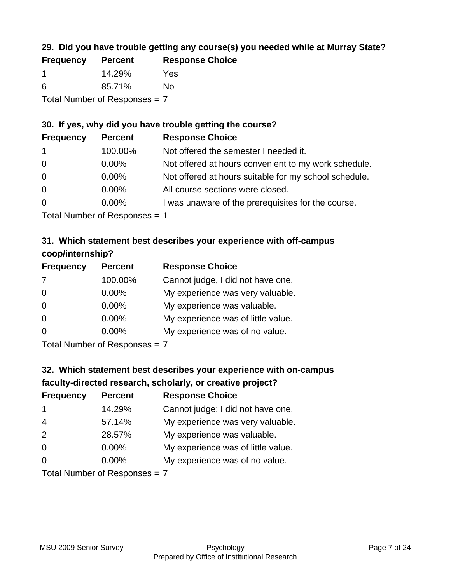### **29. Did you have trouble getting any course(s) you needed while at Murray State?**

| <b>Frequency</b>                | <b>Percent</b> | <b>Response Choice</b> |  |
|---------------------------------|----------------|------------------------|--|
|                                 | 14.29%         | Yes                    |  |
| -6                              | 85.71%         | Nο                     |  |
| Total Number of Responses = $7$ |                |                        |  |

### **30. If yes, why did you have trouble getting the course?**

| <b>Frequency</b> | <b>Percent</b> | <b>Response Choice</b>                                |
|------------------|----------------|-------------------------------------------------------|
| $\overline{1}$   | 100.00%        | Not offered the semester I needed it.                 |
| $\overline{0}$   | $0.00\%$       | Not offered at hours convenient to my work schedule.  |
| $\overline{0}$   | $0.00\%$       | Not offered at hours suitable for my school schedule. |
| $\overline{0}$   | $0.00\%$       | All course sections were closed.                      |
| $\overline{0}$   | $0.00\%$       | I was unaware of the prerequisites for the course.    |
|                  |                |                                                       |

Total Number of Responses = 1

### **31. Which statement best describes your experience with off-campus coop/internship?**

| <b>Frequency</b> | <b>Percent</b> | <b>Response Choice</b>             |
|------------------|----------------|------------------------------------|
| 7                | 100.00%        | Cannot judge, I did not have one.  |
| $\Omega$         | 0.00%          | My experience was very valuable.   |
| $\Omega$         | $0.00\%$       | My experience was valuable.        |
| $\Omega$         | 0.00%          | My experience was of little value. |
| $\Omega$         | 0.00%          | My experience was of no value.     |
|                  |                |                                    |

Total Number of Responses = 7

# **32. Which statement best describes your experience with on-campus faculty-directed research, scholarly, or creative project?**

| <b>Frequency</b> | <b>Percent</b>             | <b>Response Choice</b>             |
|------------------|----------------------------|------------------------------------|
| $\mathbf 1$      | 14.29%                     | Cannot judge; I did not have one.  |
| $\overline{4}$   | 57.14%                     | My experience was very valuable.   |
| 2                | 28.57%                     | My experience was valuable.        |
| $\Omega$         | $0.00\%$                   | My experience was of little value. |
| $\Omega$         | 0.00%                      | My experience was of no value.     |
|                  | Total Number of Deepersoon |                                    |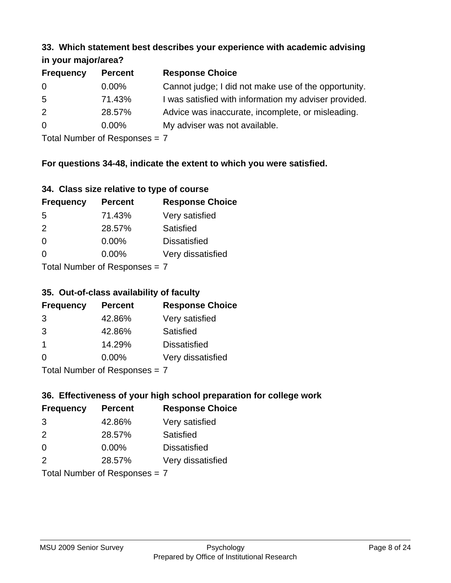#### **33. Which statement best describes your experience with academic advising in your major/area?**

| 111, 122, 111, 112, 121, 121, 131 |                |                                                       |  |
|-----------------------------------|----------------|-------------------------------------------------------|--|
| <b>Frequency</b>                  | <b>Percent</b> | <b>Response Choice</b>                                |  |
| 0                                 | $0.00\%$       | Cannot judge; I did not make use of the opportunity.  |  |
| $5\overline{)}$                   | 71.43%         | I was satisfied with information my adviser provided. |  |
| 2                                 | 28.57%         | Advice was inaccurate, incomplete, or misleading.     |  |
| $\overline{0}$                    | $0.00\%$       | My adviser was not available.                         |  |
|                                   |                |                                                       |  |

Total Number of Responses = 7

### **For questions 34-48, indicate the extent to which you were satisfied.**

|  | 34. Class size relative to type of course |  |  |
|--|-------------------------------------------|--|--|
|  |                                           |  |  |

| <b>Frequency</b>              | <b>Percent</b> | <b>Response Choice</b> |
|-------------------------------|----------------|------------------------|
| -5                            | 71.43%         | Very satisfied         |
| $\mathcal{P}$                 | 28.57%         | Satisfied              |
| $\Omega$                      | $0.00\%$       | <b>Dissatisfied</b>    |
| $\Omega$                      | $0.00\%$       | Very dissatisfied      |
| Total Number of Recnonces - 7 |                |                        |

Total Number of Responses  $=$   $\prime$ 

### **35. Out-of-class availability of faculty**

| <b>Frequency</b>           | <b>Percent</b> | <b>Response Choice</b> |
|----------------------------|----------------|------------------------|
| 3                          | 42.86%         | Very satisfied         |
| 3                          | 42.86%         | Satisfied              |
| $\mathbf 1$                | 14.29%         | <b>Dissatisfied</b>    |
| $\Omega$                   | 0.00%          | Very dissatisfied      |
| Tatal Number of Desperance |                |                        |

Total Number of Responses = 7

# **36. Effectiveness of your high school preparation for college work**

| <b>Frequency</b> | <b>Percent</b>                | <b>Response Choice</b> |
|------------------|-------------------------------|------------------------|
| 3                | 42.86%                        | Very satisfied         |
| $\mathcal{P}$    | 28.57%                        | Satisfied              |
| $\Omega$         | 0.00%                         | <b>Dissatisfied</b>    |
| $\mathcal{P}$    | 28.57%                        | Very dissatisfied      |
|                  | Total Number of Poenances - 7 |                        |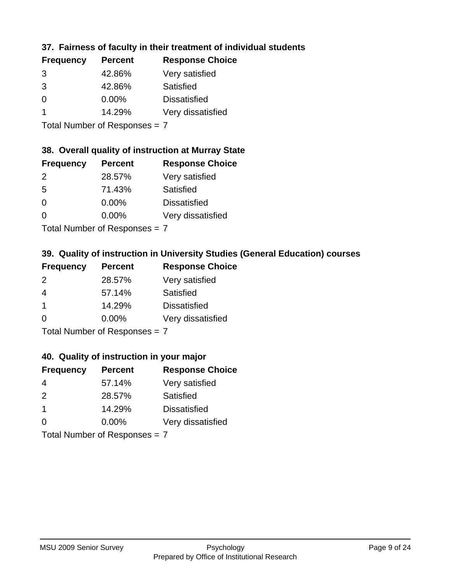### **37. Fairness of faculty in their treatment of individual students**

| <b>Frequency</b> | <b>Percent</b> | <b>Response Choice</b> |
|------------------|----------------|------------------------|
| 3                | 42.86%         | Very satisfied         |
| 3                | 42.86%         | Satisfied              |
| 0                | $0.00\%$       | <b>Dissatisfied</b>    |
|                  | 14.29%         | Very dissatisfied      |
|                  |                |                        |

Total Number of Responses = 7

#### **38. Overall quality of instruction at Murray State**

| <b>Frequency</b> | <b>Percent</b> | <b>Response Choice</b> |
|------------------|----------------|------------------------|
| $\mathcal{P}$    | 28.57%         | Very satisfied         |
| 5                | 71.43%         | Satisfied              |
| $\Omega$         | 0.00%          | <b>Dissatisfied</b>    |
| $\Omega$         | 0.00%          | Very dissatisfied      |
|                  |                |                        |

Total Number of Responses = 7

### **39. Quality of instruction in University Studies (General Education) courses**

| <b>Frequency</b> | <b>Percent</b>                                                                                                                                                                                                                 | <b>Response Choice</b> |
|------------------|--------------------------------------------------------------------------------------------------------------------------------------------------------------------------------------------------------------------------------|------------------------|
| 2                | 28.57%                                                                                                                                                                                                                         | Very satisfied         |
| 4                | 57.14%                                                                                                                                                                                                                         | Satisfied              |
| $\mathbf 1$      | 14.29%                                                                                                                                                                                                                         | <b>Dissatisfied</b>    |
| $\Omega$         | 0.00%                                                                                                                                                                                                                          | Very dissatisfied      |
|                  | The INDIAN Contract Contract Contract Contract Contract Contract Contract Contract Contract Contract Contract Contract Contract Contract Contract Contract Contract Contract Contract Contract Contract Contract Contract Cont |                        |

Total Number of Responses = 7

#### **40. Quality of instruction in your major**

| <b>Frequency</b> | <b>Percent</b> | <b>Response Choice</b> |
|------------------|----------------|------------------------|
| 4                | 57.14%         | Very satisfied         |
| $\mathcal{P}$    | 28.57%         | Satisfied              |
| $\mathbf 1$      | 14.29%         | <b>Dissatisfied</b>    |
| $\Omega$         | 0.00%          | Very dissatisfied      |
|                  |                |                        |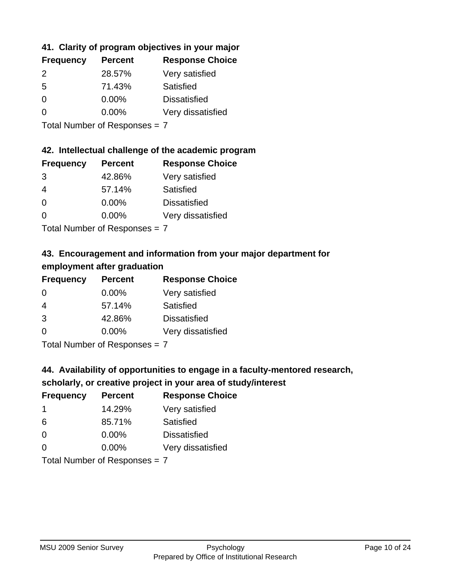### **41. Clarity of program objectives in your major**

| <b>Frequency</b> | <b>Percent</b> | <b>Response Choice</b> |
|------------------|----------------|------------------------|
| $\mathcal{P}$    | 28.57%         | Very satisfied         |
| .5               | 71.43%         | Satisfied              |
| 0                | $0.00\%$       | <b>Dissatisfied</b>    |
| ∩                | 0.00%          | Very dissatisfied      |
|                  |                |                        |

Total Number of Responses = 7

#### **42. Intellectual challenge of the academic program**

| <b>Frequency</b> | <b>Percent</b> | <b>Response Choice</b> |
|------------------|----------------|------------------------|
| 3                | 42.86%         | Very satisfied         |
| 4                | 57.14%         | Satisfied              |
| $\Omega$         | $0.00\%$       | <b>Dissatisfied</b>    |
| O                | $0.00\%$       | Very dissatisfied      |
|                  |                |                        |

Total Number of Responses = 7

### **43. Encouragement and information from your major department for employment after graduation**

| <b>Frequency</b> | <b>Percent</b> | <b>Response Choice</b> |
|------------------|----------------|------------------------|
| 0                | $0.00\%$       | Very satisfied         |
| 4                | 57.14%         | Satisfied              |
| 3                | 42.86%         | <b>Dissatisfied</b>    |
| 0                | $0.00\%$       | Very dissatisfied      |
|                  |                |                        |

Total Number of Responses = 7

### **44. Availability of opportunities to engage in a faculty-mentored research,**

### **scholarly, or creative project in your area of study/interest**

| <b>Frequency</b> | <b>Percent</b> | <b>Response Choice</b> |
|------------------|----------------|------------------------|
|                  | 14.29%         | Very satisfied         |
| 6                | 85.71%         | Satisfied              |
| $\Omega$         | $0.00\%$       | <b>Dissatisfied</b>    |
| $\Omega$         | 0.00%          | Very dissatisfied      |
|                  |                |                        |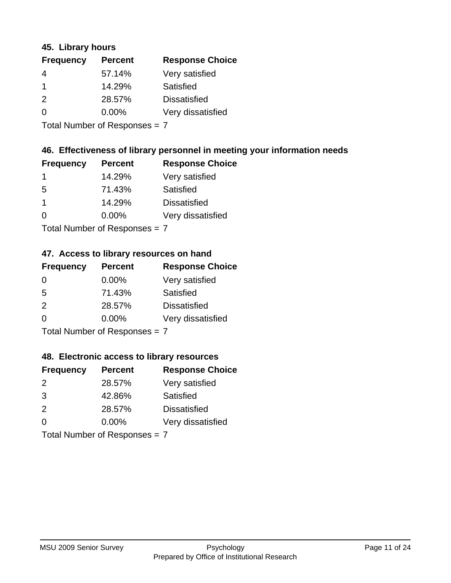#### **45. Library hours**

| <b>Frequency</b> | <b>Percent</b> | <b>Response Choice</b> |
|------------------|----------------|------------------------|
| 4                | 57.14%         | Very satisfied         |
| 1                | 14.29%         | Satisfied              |
| 2                | 28.57%         | <b>Dissatisfied</b>    |
| $\Omega$         | $0.00\%$       | Very dissatisfied      |
|                  |                |                        |

Total Number of Responses = 7

### **46. Effectiveness of library personnel in meeting your information needs**

| <b>Frequency</b> | <b>Percent</b> | <b>Response Choice</b> |
|------------------|----------------|------------------------|
|                  | 14.29%         | Very satisfied         |
| .5               | 71.43%         | Satisfied              |
|                  | 14.29%         | <b>Dissatisfied</b>    |
| $\Omega$         | $0.00\%$       | Very dissatisfied      |
|                  |                |                        |

Total Number of Responses = 7

### **47. Access to library resources on hand**

| <b>Frequency</b> | <b>Percent</b>            | <b>Response Choice</b> |
|------------------|---------------------------|------------------------|
| 0                | $0.00\%$                  | Very satisfied         |
| 5                | 71.43%                    | Satisfied              |
| $\mathcal{P}$    | 28.57%                    | <b>Dissatisfied</b>    |
| $\Omega$         | 0.00%                     | Very dissatisfied      |
|                  | Total Number of Deepensee |                        |

Total Number of Responses = 7

#### **48. Electronic access to library resources**

| <b>Frequency</b> | <b>Percent</b>             | <b>Response Choice</b> |
|------------------|----------------------------|------------------------|
| $\mathcal{P}$    | 28.57%                     | Very satisfied         |
| 3                | 42.86%                     | Satisfied              |
| 2                | 28.57%                     | <b>Dissatisfied</b>    |
| $\Omega$         | 0.00%                      | Very dissatisfied      |
|                  | Tatal Number of Desperance |                        |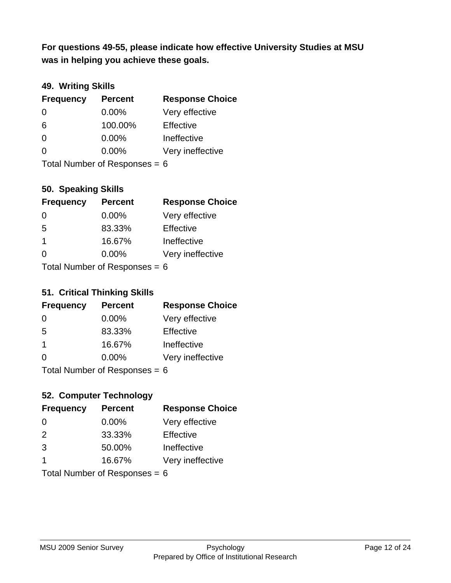**was in helping you achieve these goals. For questions 49-55, please indicate how effective University Studies at MSU** 

### **49. Writing Skills**

| <b>Frequency</b>                | <b>Percent</b> | <b>Response Choice</b> |
|---------------------------------|----------------|------------------------|
| $\Omega$                        | $0.00\%$       | Very effective         |
| 6                               | 100.00%        | Effective              |
| $\Omega$                        | $0.00\%$       | Ineffective            |
| $\Omega$                        | $0.00\%$       | Very ineffective       |
| Total Number of Responses = $6$ |                |                        |

**50. Speaking Skills**

| <b>Frequency</b>           | <b>Percent</b> | <b>Response Choice</b> |
|----------------------------|----------------|------------------------|
| $\Omega$                   | 0.00%          | Very effective         |
| -5                         | 83.33%         | Effective              |
| $\mathbf 1$                | 16.67%         | Ineffective            |
| $\Omega$                   | 0.00%          | Very ineffective       |
| Total Number of Denonone – |                |                        |

Total Number of Responses = 6

#### **51. Critical Thinking Skills**

| <b>Frequency</b>          | <b>Percent</b> | <b>Response Choice</b> |
|---------------------------|----------------|------------------------|
| $\Omega$                  | 0.00%          | Very effective         |
| 5                         | 83.33%         | Effective              |
| $\overline{\mathbf{1}}$   | 16.67%         | Ineffective            |
| $\Omega$                  | 0.00%          | Very ineffective       |
| Total Number of Desponses |                |                        |

Total Number of Responses = 6

### **52. Computer Technology**

| <b>Frequency</b>                | <b>Percent</b> | <b>Response Choice</b> |
|---------------------------------|----------------|------------------------|
| $\Omega$                        | $0.00\%$       | Very effective         |
| $\mathcal{P}$                   | 33.33%         | Effective              |
| 3                               | 50.00%         | Ineffective            |
| -1                              | 16.67%         | Very ineffective       |
| Total Number of Responses = $6$ |                |                        |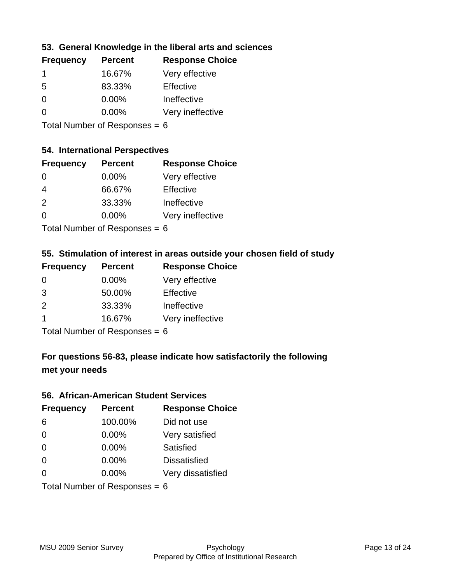### **53. General Knowledge in the liberal arts and sciences**

| <b>Frequency</b> | <b>Percent</b> | <b>Response Choice</b> |
|------------------|----------------|------------------------|
|                  | 16.67%         | Very effective         |
| .5               | 83.33%         | Effective              |
| $\Omega$         | $0.00\%$       | Ineffective            |
| $\Omega$         | $0.00\%$       | Very ineffective       |
|                  |                |                        |

Total Number of Responses = 6

### **54. International Perspectives**

| <b>Frequency</b> | <b>Percent</b> | <b>Response Choice</b> |
|------------------|----------------|------------------------|
| $\Omega$         | $0.00\%$       | Very effective         |
| 4                | 66.67%         | Effective              |
| $\mathcal{P}$    | 33.33%         | Ineffective            |
| $\Omega$         | 0.00%          | Very ineffective       |
|                  |                |                        |

Total Number of Responses  $= 6$ 

### **55. Stimulation of interest in areas outside your chosen field of study**

| <b>Frequency</b>           | <b>Percent</b> | <b>Response Choice</b> |
|----------------------------|----------------|------------------------|
| -0                         | $0.00\%$       | Very effective         |
| 3                          | 50.00%         | Effective              |
| $\mathcal{P}$              | 33.33%         | Ineffective            |
| -1                         | 16.67%         | Very ineffective       |
| Total Number of Denonone – |                |                        |

Total Number of Responses = 6

## **For questions 56-83, please indicate how satisfactorily the following met your needs**

#### **56. African-American Student Services**

| <b>Frequency</b> | <b>Percent</b>                  | <b>Response Choice</b> |
|------------------|---------------------------------|------------------------|
| 6                | 100.00%                         | Did not use            |
| $\Omega$         | 0.00%                           | Very satisfied         |
| $\Omega$         | 0.00%                           | Satisfied              |
| $\Omega$         | $0.00\%$                        | <b>Dissatisfied</b>    |
| $\Omega$         | 0.00%                           | Very dissatisfied      |
|                  | Total Number of Responses = $6$ |                        |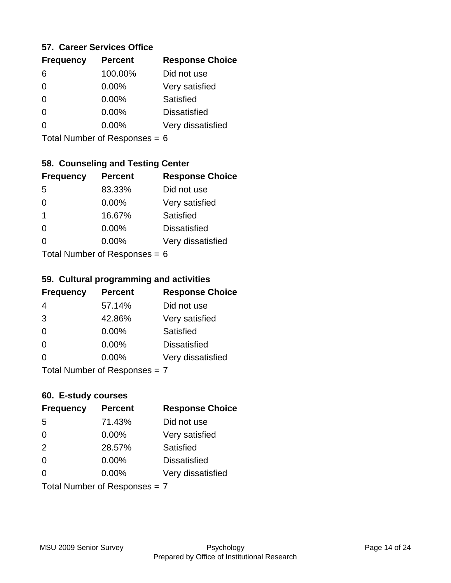#### **57. Career Services Office**

| <b>Frequency</b> | <b>Percent</b> | <b>Response Choice</b> |
|------------------|----------------|------------------------|
| 6                | 100.00%        | Did not use            |
|                  | 0.00%          | Very satisfied         |
|                  | $0.00\%$       | Satisfied              |
|                  | $0.00\%$       | <b>Dissatisfied</b>    |
|                  | $0.00\%$       | Very dissatisfied      |
|                  |                |                        |

Total Number of Responses = 6

# **58. Counseling and Testing Center**

| <b>Frequency</b>          | <b>Percent</b> | <b>Response Choice</b> |
|---------------------------|----------------|------------------------|
| -5                        | 83.33%         | Did not use            |
| 0                         | $0.00\%$       | Very satisfied         |
| 1                         | 16.67%         | <b>Satisfied</b>       |
| 0                         | $0.00\%$       | <b>Dissatisfied</b>    |
| ∩                         | $0.00\%$       | Very dissatisfied      |
| Total Number of Desponses |                |                        |

Total Number of Responses = 6

#### **59. Cultural programming and activities**

| <b>Frequency</b>              | <b>Percent</b> | <b>Response Choice</b> |
|-------------------------------|----------------|------------------------|
| 4                             | 57.14%         | Did not use            |
| 3                             | 42.86%         | Very satisfied         |
| $\Omega$                      | 0.00%          | Satisfied              |
| $\Omega$                      | $0.00\%$       | <b>Dissatisfied</b>    |
| $\Omega$                      | $0.00\%$       | Very dissatisfied      |
| Total Number of Responses = 7 |                |                        |

### **60. E-study courses**

| <b>Frequency</b>              | <b>Percent</b> | <b>Response Choice</b> |
|-------------------------------|----------------|------------------------|
| 5                             | 71.43%         | Did not use            |
| $\Omega$                      | 0.00%          | Very satisfied         |
| 2                             | 28.57%         | Satisfied              |
| $\Omega$                      | 0.00%          | <b>Dissatisfied</b>    |
| $\Omega$                      | $0.00\%$       | Very dissatisfied      |
| Total Number of Responses = 7 |                |                        |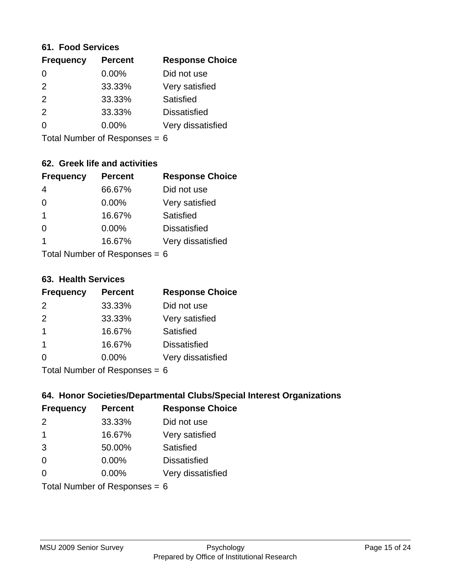#### **61. Food Services**

| <b>Frequency</b> | <b>Percent</b> | <b>Response Choice</b> |
|------------------|----------------|------------------------|
| 0                | 0.00%          | Did not use            |
| $\mathcal{P}$    | 33.33%         | Very satisfied         |
| 2                | 33.33%         | Satisfied              |
| 2                | 33.33%         | <b>Dissatisfied</b>    |
| ∩                | $0.00\%$       | Very dissatisfied      |
|                  |                |                        |

Total Number of Responses = 6

### **62. Greek life and activities**

| <b>Frequency</b>                | <b>Percent</b> | <b>Response Choice</b> |
|---------------------------------|----------------|------------------------|
| 4                               | 66.67%         | Did not use            |
| 0                               | 0.00%          | Very satisfied         |
| 1                               | 16.67%         | Satisfied              |
| $\Omega$                        | 0.00%          | <b>Dissatisfied</b>    |
| 1                               | 16.67%         | Very dissatisfied      |
| Total Number of Responses = $6$ |                |                        |

**63. Health Services**

| <b>Frequency</b> | <b>Percent</b> | <b>Response Choice</b> |
|------------------|----------------|------------------------|
| 2                | 33.33%         | Did not use            |
| 2                | 33.33%         | Very satisfied         |
| $\mathbf 1$      | 16.67%         | <b>Satisfied</b>       |
| $\overline{1}$   | 16.67%         | <b>Dissatisfied</b>    |
| $\Omega$         | 0.00%          | Very dissatisfied      |
|                  |                |                        |

Total Number of Responses  $= 6$ 

### **64. Honor Societies/Departmental Clubs/Special Interest Organizations**

| <b>Frequency</b>                | <b>Percent</b> | <b>Response Choice</b> |
|---------------------------------|----------------|------------------------|
| 2                               | 33.33%         | Did not use            |
| $\mathbf 1$                     | 16.67%         | Very satisfied         |
| 3                               | 50.00%         | Satisfied              |
| $\Omega$                        | 0.00%          | <b>Dissatisfied</b>    |
| 0                               | 0.00%          | Very dissatisfied      |
| Total Number of Responses = $6$ |                |                        |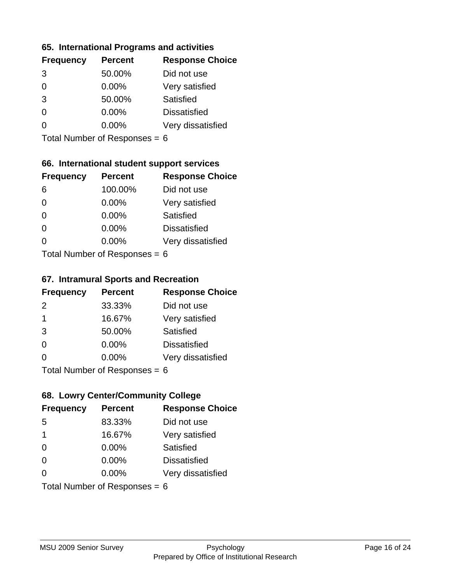#### **65. International Programs and activities**

| <b>Frequency</b> | <b>Percent</b> | <b>Response Choice</b> |
|------------------|----------------|------------------------|
| 3                | 50.00%         | Did not use            |
| 0                | $0.00\%$       | Very satisfied         |
| 3                | 50.00%         | Satisfied              |
|                  | $0.00\%$       | <b>Dissatisfied</b>    |
|                  | $0.00\%$       | Very dissatisfied      |
|                  |                |                        |

Total Number of Responses = 6

### **66. International student support services**

| <b>Frequency</b>          | <b>Percent</b> | <b>Response Choice</b> |
|---------------------------|----------------|------------------------|
| 6                         | 100.00%        | Did not use            |
| $\Omega$                  | 0.00%          | Very satisfied         |
| $\Omega$                  | $0.00\%$       | Satisfied              |
| $\Omega$                  | 0.00%          | <b>Dissatisfied</b>    |
| ∩                         | 0.00%          | Very dissatisfied      |
| Total Number of Desponses |                |                        |

Total Number of Responses = 6

#### **67. Intramural Sports and Recreation**

| <b>Frequency</b>              | <b>Percent</b> | <b>Response Choice</b> |
|-------------------------------|----------------|------------------------|
| 2                             | 33.33%         | Did not use            |
| $\mathbf 1$                   | 16.67%         | Very satisfied         |
| 3                             | 50.00%         | Satisfied              |
| $\Omega$                      | $0.00\%$       | <b>Dissatisfied</b>    |
| $\Omega$                      | $0.00\%$       | Very dissatisfied      |
| $Total Number of Denonce - 6$ |                |                        |

Total Number of Responses = 6

### **68. Lowry Center/Community College**

| <b>Frequency</b> | <b>Percent</b>                  | <b>Response Choice</b> |
|------------------|---------------------------------|------------------------|
| .5               | 83.33%                          | Did not use            |
| $\mathbf 1$      | 16.67%                          | Very satisfied         |
| $\Omega$         | 0.00%                           | Satisfied              |
| $\Omega$         | 0.00%                           | <b>Dissatisfied</b>    |
| $\Omega$         | $0.00\%$                        | Very dissatisfied      |
|                  | Total Number of Responses = $6$ |                        |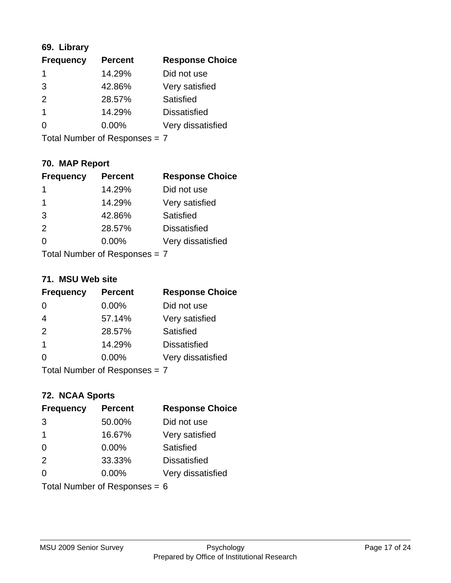### **69. Library**

| <b>Frequency</b> | <b>Percent</b> | <b>Response Choice</b> |
|------------------|----------------|------------------------|
| 1                | 14.29%         | Did not use            |
| 3                | 42.86%         | Very satisfied         |
| $\mathcal{P}$    | 28.57%         | Satisfied              |
| 1                | 14.29%         | <b>Dissatisfied</b>    |
| ∩                | $0.00\%$       | Very dissatisfied      |
|                  |                |                        |

Total Number of Responses = 7

### **70. MAP Report**

| <b>Frequency</b>              | <b>Percent</b> | <b>Response Choice</b> |
|-------------------------------|----------------|------------------------|
| 1                             | 14.29%         | Did not use            |
| 1                             | 14.29%         | Very satisfied         |
| 3                             | 42.86%         | Satisfied              |
| 2                             | 28.57%         | <b>Dissatisfied</b>    |
| ∩                             | $0.00\%$       | Very dissatisfied      |
| Total Number of Responses = 7 |                |                        |

#### **71. MSU Web site**

| <b>Frequency</b> | <b>Percent</b>                | <b>Response Choice</b> |
|------------------|-------------------------------|------------------------|
| $\Omega$         | $0.00\%$                      | Did not use            |
| $\overline{4}$   | 57.14%                        | Very satisfied         |
| 2                | 28.57%                        | Satisfied              |
| $\overline{1}$   | 14.29%                        | <b>Dissatisfied</b>    |
| ∩                | $0.00\%$                      | Very dissatisfied      |
|                  | Total Number of Responses = 7 |                        |

# **72. NCAA Sports**

| <b>Frequency</b>        | <b>Percent</b>                  | <b>Response Choice</b> |
|-------------------------|---------------------------------|------------------------|
| 3                       | 50.00%                          | Did not use            |
| $\overline{\mathbf{1}}$ | 16.67%                          | Very satisfied         |
| $\Omega$                | $0.00\%$                        | <b>Satisfied</b>       |
| 2                       | 33.33%                          | <b>Dissatisfied</b>    |
| $\Omega$                | 0.00%                           | Very dissatisfied      |
|                         | Total Number of Responses = $6$ |                        |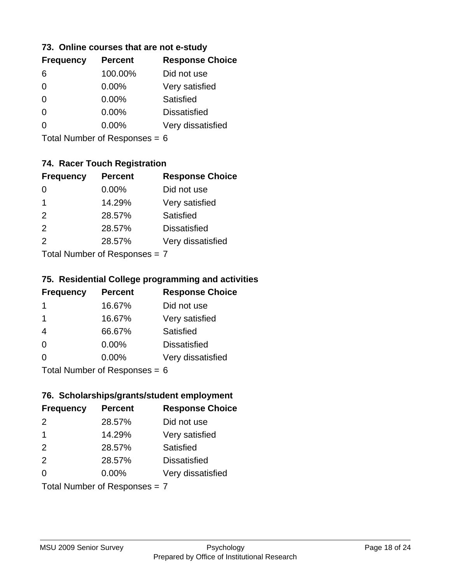#### **73. Online courses that are not e-study**

| <b>Frequency</b> | <b>Percent</b> | <b>Response Choice</b> |
|------------------|----------------|------------------------|
| 6                | 100.00%        | Did not use            |
|                  | 0.00%          | Very satisfied         |
|                  | $0.00\%$       | Satisfied              |
|                  | $0.00\%$       | <b>Dissatisfied</b>    |
|                  | $0.00\%$       | Very dissatisfied      |
|                  |                |                        |

Total Number of Responses = 6

### **74. Racer Touch Registration**

| <b>Frequency</b>          | <b>Percent</b> | <b>Response Choice</b> |
|---------------------------|----------------|------------------------|
| 0                         | 0.00%          | Did not use            |
| 1                         | 14.29%         | Very satisfied         |
| 2                         | 28.57%         | <b>Satisfied</b>       |
| 2                         | 28.57%         | <b>Dissatisfied</b>    |
| $\mathcal{P}$             | 28.57%         | Very dissatisfied      |
| Total Number of Doopenoon |                |                        |

Total Number of Responses = 7

### **75. Residential College programming and activities**

| <b>Frequency</b>          | <b>Percent</b> | <b>Response Choice</b> |
|---------------------------|----------------|------------------------|
| $\mathbf 1$               | 16.67%         | Did not use            |
| -1                        | 16.67%         | Very satisfied         |
| $\overline{4}$            | 66.67%         | Satisfied              |
| $\Omega$                  | 0.00%          | <b>Dissatisfied</b>    |
| $\Omega$                  | 0.00%          | Very dissatisfied      |
| Total Number of DoEROR 0. |                |                        |

Total Number of Responses = 6

### **76. Scholarships/grants/student employment**

| <b>Frequency</b>              | <b>Percent</b> | <b>Response Choice</b> |
|-------------------------------|----------------|------------------------|
| $\mathcal{P}$                 | 28.57%         | Did not use            |
| $\mathbf 1$                   | 14.29%         | Very satisfied         |
| 2                             | 28.57%         | Satisfied              |
| 2                             | 28.57%         | <b>Dissatisfied</b>    |
| $\Omega$                      | 0.00%          | Very dissatisfied      |
| Total Number of Responses = 7 |                |                        |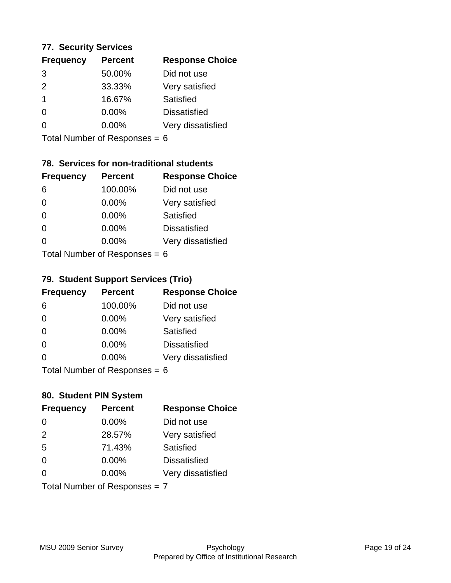#### **77. Security Services**

| <b>Frequency</b> | <b>Percent</b> | <b>Response Choice</b> |
|------------------|----------------|------------------------|
| 3                | 50.00%         | Did not use            |
| $\mathcal{P}$    | 33.33%         | Very satisfied         |
| -1               | 16.67%         | Satisfied              |
| $\Omega$         | $0.00\%$       | <b>Dissatisfied</b>    |
| O                | $0.00\%$       | Very dissatisfied      |
|                  |                |                        |

Total Number of Responses = 6

### **78. Services for non-traditional students**

| <b>Frequency</b>          | <b>Percent</b> | <b>Response Choice</b> |
|---------------------------|----------------|------------------------|
| 6                         | 100.00%        | Did not use            |
| 0                         | 0.00%          | Very satisfied         |
| $\Omega$                  | 0.00%          | Satisfied              |
| $\Omega$                  | 0.00%          | <b>Dissatisfied</b>    |
| 0                         | $0.00\%$       | Very dissatisfied      |
| Total Number of Despasses |                |                        |

Total Number of Responses = 6

### **79. Student Support Services (Trio)**

| <b>Frequency</b>              | <b>Percent</b> | <b>Response Choice</b> |
|-------------------------------|----------------|------------------------|
| 6                             | 100.00%        | Did not use            |
| $\Omega$                      | $0.00\%$       | Very satisfied         |
| $\Omega$                      | $0.00\%$       | Satisfied              |
| $\Omega$                      | $0.00\%$       | <b>Dissatisfied</b>    |
| $\Omega$                      | $0.00\%$       | Very dissatisfied      |
| $Total Number of Denonce - 6$ |                |                        |

I otal Number of Responses  $= 6$ 

### **80. Student PIN System**

| <b>Frequency</b> | <b>Percent</b>                | <b>Response Choice</b> |
|------------------|-------------------------------|------------------------|
| $\Omega$         | 0.00%                         | Did not use            |
| 2                | 28.57%                        | Very satisfied         |
| 5                | 71.43%                        | Satisfied              |
| $\Omega$         | $0.00\%$                      | <b>Dissatisfied</b>    |
| $\Omega$         | 0.00%                         | Very dissatisfied      |
|                  | Total Number of Responses = 7 |                        |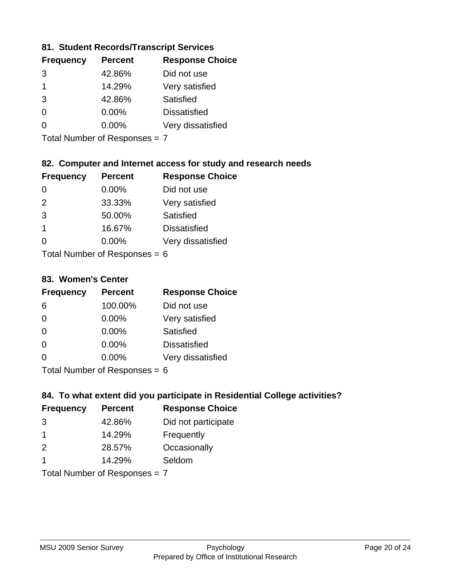### **81. Student Records/Transcript Services**

| <b>Frequency</b> | <b>Percent</b> | <b>Response Choice</b> |
|------------------|----------------|------------------------|
| 3                | 42.86%         | Did not use            |
| 1                | 14.29%         | Very satisfied         |
| 3                | 42.86%         | Satisfied              |
| ∩                | $0.00\%$       | <b>Dissatisfied</b>    |
|                  | $0.00\%$       | Very dissatisfied      |

Total Number of Responses = 7

### **82. Computer and Internet access for study and research needs**

| <b>Frequency</b>           | <b>Percent</b> | <b>Response Choice</b> |
|----------------------------|----------------|------------------------|
| 0                          | 0.00%          | Did not use            |
| 2                          | 33.33%         | Very satisfied         |
| 3                          | 50.00%         | <b>Satisfied</b>       |
| 1                          | 16.67%         | <b>Dissatisfied</b>    |
| 0                          | 0.00%          | Very dissatisfied      |
| Tatal Number of Desperance |                |                        |

Total Number of Responses = 6

#### **83. Women's Center**

| <b>Frequency</b>          | <b>Percent</b> | <b>Response Choice</b> |
|---------------------------|----------------|------------------------|
| 6                         | 100.00%        | Did not use            |
| $\Omega$                  | 0.00%          | Very satisfied         |
| $\Omega$                  | $0.00\%$       | Satisfied              |
| $\Omega$                  | 0.00%          | <b>Dissatisfied</b>    |
| $\Omega$                  | $0.00\%$       | Very dissatisfied      |
| Total Number of Despenses |                |                        |

Total Number of Responses = 6

### **84. To what extent did you participate in Residential College activities?**

| <b>Frequency</b>            | <b>Percent</b> | <b>Response Choice</b> |
|-----------------------------|----------------|------------------------|
| 3                           | 42.86%         | Did not participate    |
|                             | 14.29%         | Frequently             |
| $\mathcal{P}$               | 28.57%         | Occasionally           |
|                             | 14.29%         | Seldom                 |
| Tatal Manuala and Dannanana |                |                        |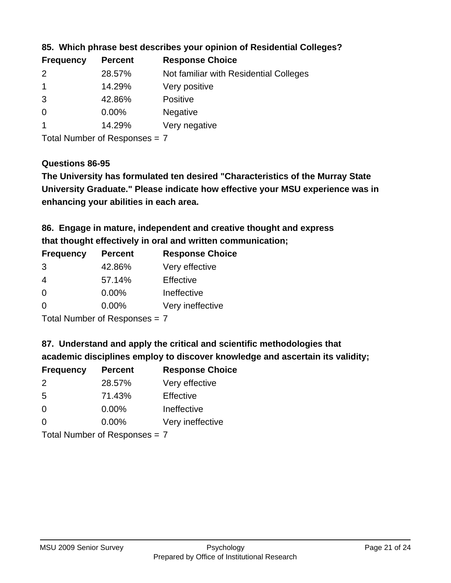| <b>Frequency</b> | <b>Percent</b> | <b>Response Choice</b>                 |
|------------------|----------------|----------------------------------------|
| $\mathcal{P}$    | 28.57%         | Not familiar with Residential Colleges |
|                  | 14.29%         | Very positive                          |
| 3                | 42.86%         | <b>Positive</b>                        |
| -0               | $0.00\%$       | <b>Negative</b>                        |
|                  | 14.29%         | Very negative                          |

**85. Which phrase best describes your opinion of Residential Colleges?**

Total Number of Responses = 7

#### **Questions 86-95**

**University Graduate." Please indicate how effective your MSU experience was in The University has formulated ten desired "Characteristics of the Murray State enhancing your abilities in each area.**

**86. Engage in mature, independent and creative thought and express that thought effectively in oral and written communication;**

| <b>Frequency</b> | <b>Percent</b> | <b>Response Choice</b> |
|------------------|----------------|------------------------|
| 3                | 42.86%         | Very effective         |
| 4                | 57.14%         | Effective              |
| $\Omega$         | $0.00\%$       | Ineffective            |
| $\Omega$         | $0.00\%$       | Very ineffective       |

Total Number of Responses = 7

**87. Understand and apply the critical and scientific methodologies that** 

**academic disciplines employ to discover knowledge and ascertain its validity;**

| <b>Frequency</b> | <b>Percent</b> | <b>Response Choice</b> |
|------------------|----------------|------------------------|
| $\mathcal{P}$    | 28.57%         | Very effective         |
| .5               | 71.43%         | Effective              |
| $\Omega$         | 0.00%          | Ineffective            |
| ∩                | 0.00%          | Very ineffective       |
|                  |                |                        |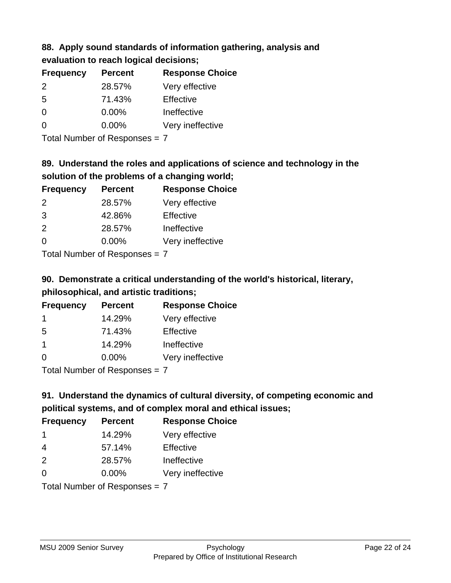# **88. Apply sound standards of information gathering, analysis and evaluation to reach logical decisions;**

| <b>Frequency</b> | <b>Percent</b> | <b>Response Choice</b> |
|------------------|----------------|------------------------|
| $\mathcal{P}$    | 28.57%         | Very effective         |
| .5               | 71.43%         | Effective              |
| O                | $0.00\%$       | Ineffective            |
| O                | $0.00\%$       | Very ineffective       |

Total Number of Responses = 7

# **89. Understand the roles and applications of science and technology in the solution of the problems of a changing world;**

| <b>Frequency</b>                         | <b>Percent</b> | <b>Response Choice</b> |
|------------------------------------------|----------------|------------------------|
| 2                                        | 28.57%         | Very effective         |
| 3                                        | 42.86%         | Effective              |
| 2                                        | 28.57%         | Ineffective            |
| $\Omega$                                 | 0.00%          | Very ineffective       |
| $T$ at all Message and $D$ are a serious |                |                        |

Total Number of Responses = 7

# **90. Demonstrate a critical understanding of the world's historical, literary, philosophical, and artistic traditions;**

| <b>Frequency</b> | <b>Percent</b> | <b>Response Choice</b> |
|------------------|----------------|------------------------|
|                  | 14.29%         | Very effective         |
| 5                | 71.43%         | Effective              |
|                  | 14.29%         | Ineffective            |
| $\Omega$         | 0.00%          | Very ineffective       |
|                  |                |                        |

Total Number of Responses = 7

# **91. Understand the dynamics of cultural diversity, of competing economic and political systems, and of complex moral and ethical issues;**

| <b>Frequency</b> | <b>Percent</b>                | <b>Response Choice</b> |
|------------------|-------------------------------|------------------------|
| $\mathbf 1$      | 14.29%                        | Very effective         |
| $\overline{4}$   | 57.14%                        | Effective              |
| 2                | 28.57%                        | Ineffective            |
| $\Omega$         | $0.00\%$                      | Very ineffective       |
|                  | Total Number of Responses = 7 |                        |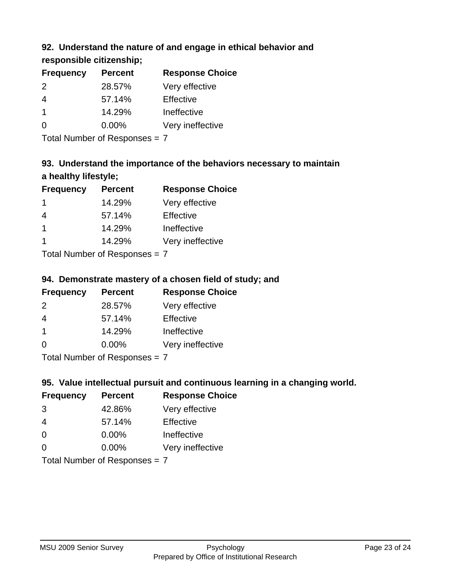### **92. Understand the nature of and engage in ethical behavior and**

**responsible citizenship;**

| <b>Frequency</b> | <b>Percent</b> | <b>Response Choice</b> |
|------------------|----------------|------------------------|
| $\mathcal{P}$    | 28.57%         | Very effective         |
| 4                | 57.14%         | Effective              |
|                  | 14.29%         | Ineffective            |
| $\Omega$         | $0.00\%$       | Very ineffective       |
|                  |                |                        |

Total Number of Responses = 7

# **93. Understand the importance of the behaviors necessary to maintain a healthy lifestyle;**

| <b>Frequency</b> | <b>Percent</b>             | <b>Response Choice</b> |
|------------------|----------------------------|------------------------|
|                  | 14.29%                     | Very effective         |
| 4                | 57.14%                     | Effective              |
| $\mathbf 1$      | 14.29%                     | Ineffective            |
|                  | 14.29%                     | Very ineffective       |
|                  | Total Number of Desperance |                        |

Total Number of Responses = 7

## **94. Demonstrate mastery of a chosen field of study; and**

| <b>Frequency</b> | <b>Percent</b> | <b>Response Choice</b> |
|------------------|----------------|------------------------|
| $\mathcal{P}$    | 28.57%         | Very effective         |
| 4                | 57.14%         | Effective              |
|                  | 14.29%         | Ineffective            |
| $\Omega$         | $0.00\%$       | Very ineffective       |
|                  |                |                        |

Total Number of Responses = 7

### **95. Value intellectual pursuit and continuous learning in a changing world.**

| <b>Frequency</b> | <b>Percent</b>                                                                                                 | <b>Response Choice</b> |
|------------------|----------------------------------------------------------------------------------------------------------------|------------------------|
| 3                | 42.86%                                                                                                         | Very effective         |
| 4                | 57.14%                                                                                                         | Effective              |
| $\Omega$         | 0.00%                                                                                                          | Ineffective            |
| $\Omega$         | 0.00%                                                                                                          | Very ineffective       |
|                  | $\tau$ . $\tau$ . In the set of $\tau$ , $\tau$ , $\tau$ , $\tau$ , $\tau$ , $\tau$ , $\tau$ , $\tau$ , $\tau$ |                        |